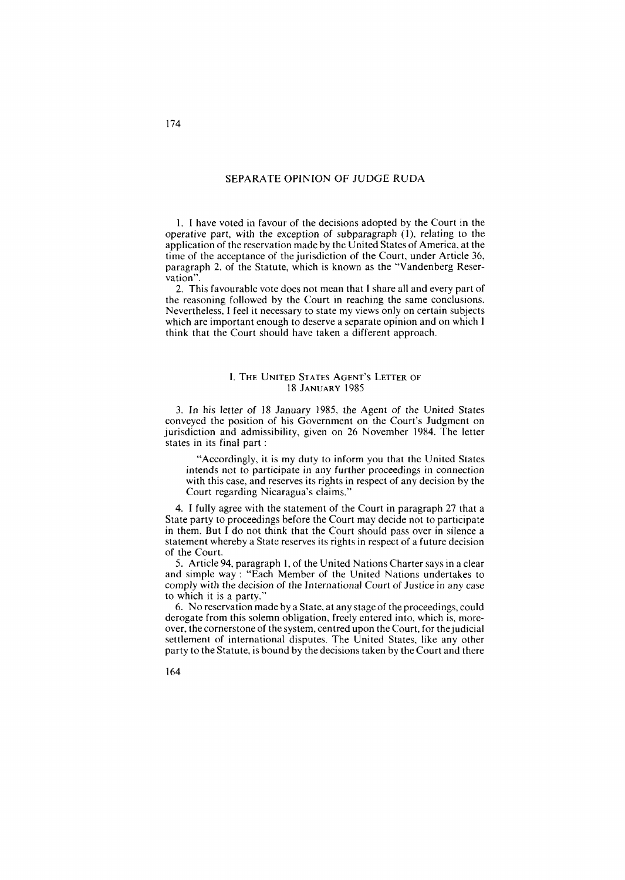## SEPARATE OPINION OF JUDGE RUDA

1. I have voted in favour of the decisions adopted by the Court in the operative part, with the exception of subparagraph (l), relating to the application of the reservation made by the United States of America, at the time of the acceptance of the jurisdiction of the Court, under Article 36, paragraph 2, of the Statute, which is known as the "Vandenberg Reservation".

2. This favourable vote does not mean that I share al1 and every part of the reasoning followed by the Court in reaching the same conclusions. Nevertheless, **1** feel it necessary to state my views only on certain subjects which are important enough to deserve a separate opinion and on which 1 think that the Court should have taken a different approach.

## I. THE UNITED STATES AGENT'S LETTER OF **18 JANUARY 1985**

**3.** In his letter of 18 January 1985, the Agent of the United States conveyed the position of his Government on the Court's Judgment on jurisdiction and admissibility, given on 26 November 1984. The letter states in its final part :

"Accordingly, it is my duty to inform you that the United States intends not to participate in any further proceedings in connection with this case, and reserves its rights in respect of any decision by the Court regarding Nicaragua's claims."

4. 1 fully agree with the statement of the Court in paragraph 27 that a State party to proceedings before the Court may decide not to participate in them. But 1 do not think that the Court should pass over in silence a statement whereby a State reserves its rights in respect of a future decision of the Court.

*5.* Article 94, paragraph 1, of the United Nations Charter says in a clear and simple way : "Each Member of the United Nations undertakes to comply with the decision of the International Court of Justice in any case to which it is a party."

6. No reservation made by a State, at any stage of theproceedings, could derogate from this solemn obligation, freely entered into, which is, moreover, the cornerstone of the system, centred upon the Court, for thejudicial settlement of international disputes. The United States, like any other party to the Statute, is bound by the decisions taken by the Court and there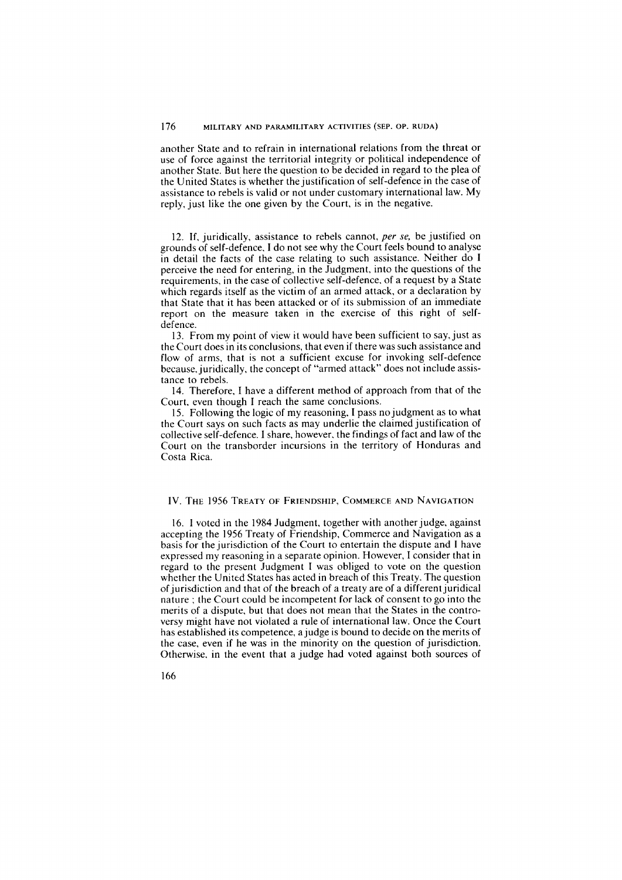another State and to refrain in international relations from the threat or use of force against the territorial integrity or political independence of another State. But here the question to be decided in regard to the plea of the United States is whether the justification of self-defence in the case of assistance to rebels is valid or not under customary international law. My reply, just like the one given by the Court, is in the negative.

12. If, juridically, assistance to rebels cannot, per se, be justified on grounds of self-defence. **1** do not see why the Court feels bound to analyse in detail the facts of the case relating to such assistance. Neither do **1**  perceive the need for entering, in the Judgment, into the questions of the requirements, in the case of collective self-defence. of a request by a State which regards itself as the victim of an armed attack, or a declaration by that State that it has been attacked or of its submission of an immediate report on the rneasure taken in the exercise of this right of selfdefence.

13. From my point of view it would have been sufficient to say, just as the Court does in its conclusions, that even if there was such assistance and flow of arrns, that is not a sufficient excuse for invoking self-defence because, juridically, the concept of "armed attack" does not include assistance to rebels.

14. Therefore, 1 have a different method of approach from that of the Court, even though **1** reach the sarne conclusions.

15. Following the logic of my reasoning, I pass no judgment as to what the Court says on such facts as rnay underlie the claimed justification of collective self-defence. **I** share, however. the findings of fact and law of the Court on the transborder incursions in the territory of Honduras and Costa Rica.

## IV. THE 1956 TREATY OF FRIENDSHIP, COMMERCE AND NAVIGATION

16. **1** voted in the 1984 Judgment, together with anotherjudge, against accepting the 1956 Treaty of Friendship, Commerce and Navigation as a basis for the jurisdiction of the Court to entertain the dispute and 1 have expressed my reasoning in a separate opinion. However, 1 consider that in regard to the present Judgment 1 was obliged to vote on the question whether the United States has acted in breach of this Treaty. The question of jurisdiction and that of the breach of a treaty are of a different juridical nature ; the Court could be incompetent for lack of consent to go into the merits of a dispute, but that does not mean that the States in the controversy might have not violated a rule of international law. Once the Court has established its competence, a judge is bound to decide on the merits of the case, even if he was in the rninority on the question of jurisdiction. Otherwise, in the event that a judge had voted against both sources of